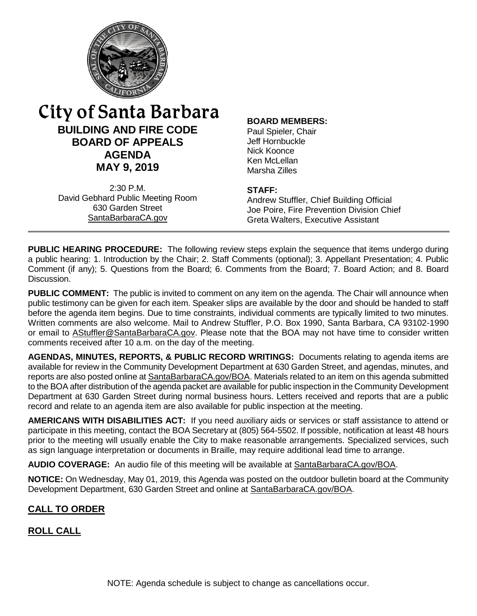

# **BUILDING AND FIRE CODE BOARD OF APPEALS AGENDA MAY 9, 2019** City of Santa Barbara

2:30 P.M. David Gebhard Public Meeting Room 630 Garden Street [SantaBarbaraCA.gov](http://www.santabarbaraca.gov/)

#### **BOARD MEMBERS:**

Paul Spieler, Chair Jeff Hornbuckle Nick Koonce Ken McLellan Marsha Zilles

#### **STAFF:**

Andrew Stuffler, Chief Building Official Joe Poire, Fire Prevention Division Chief Greta Walters, Executive Assistant

**PUBLIC HEARING PROCEDURE:** The following review steps explain the sequence that items undergo during a public hearing: 1. Introduction by the Chair; 2. Staff Comments (optional); 3. Appellant Presentation; 4. Public Comment (if any); 5. Questions from the Board; 6. Comments from the Board; 7. Board Action; and 8. Board Discussion.

**PUBLIC COMMENT:** The public is invited to comment on any item on the agenda. The Chair will announce when public testimony can be given for each item. Speaker slips are available by the door and should be handed to staff before the agenda item begins. Due to time constraints, individual comments are typically limited to two minutes. Written comments are also welcome. Mail to Andrew Stuffler, P.O. Box 1990, Santa Barbara, CA 93102-1990 or email to **AStuffler@SantaBarbaraCA.gov**. Please note that the BOA may not have time to consider written comments received after 10 a.m. on the day of the meeting.

**AGENDAS, MINUTES, REPORTS, & PUBLIC RECORD WRITINGS:** Documents relating to agenda items are available for review in the Community Development Department at 630 Garden Street, and agendas, minutes, and reports are also posted online at [SantaBarbaraCA.gov/BOA.](http://www.santabarbaraca.gov/BOA) Materials related to an item on this agenda submitted to the BOA after distribution of the agenda packet are available for public inspection in the Community Development Department at 630 Garden Street during normal business hours. Letters received and reports that are a public record and relate to an agenda item are also available for public inspection at the meeting.

**AMERICANS WITH DISABILITIES ACT:** If you need auxiliary aids or services or staff assistance to attend or participate in this meeting, contact the BOA Secretary at (805) 564-5502. If possible, notification at least 48 hours prior to the meeting will usually enable the City to make reasonable arrangements. Specialized services, such as sign language interpretation or documents in Braille, may require additional lead time to arrange.

**AUDIO COVERAGE:** An audio file of this meeting will be available at [SantaBarbaraCA.gov/BOA.](http://www.santabarbaraca.gov/gov/brdcomm/ac/bfcba/agendas.asp?utm_source=CommunityDevelopment&utm_medium=BOA&utm_campaign=QuickLinks)

**NOTICE:** On Wednesday, May 01, 2019, this Agenda was posted on the outdoor bulletin board at the Community Development Department, 630 Garden Street and online at [SantaBarbaraCA.gov/BOA.](http://www.santabarbaraca.gov/BOA)

# **CALL TO ORDER**

### **ROLL CALL**